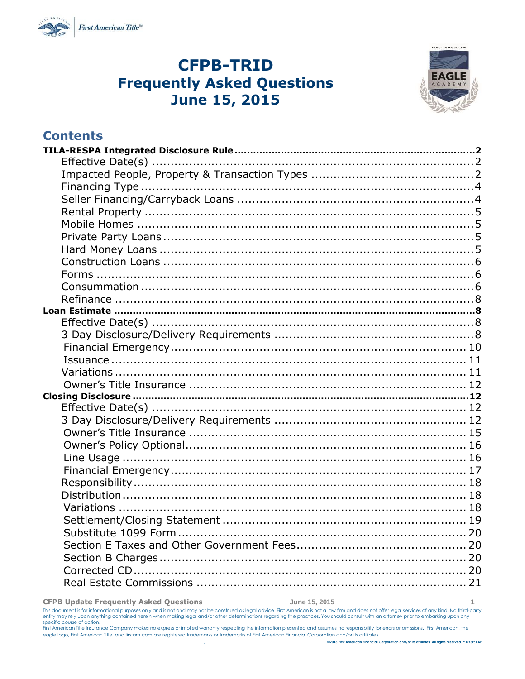

# **CFPB-TRID Frequently Asked Questions June 15, 2015**



### **Contents**

#### **CFPB Update Frequently Asked Questions June 15, 2015 1**

This document is for informational purposes only and is not and may not be construed as legal advice. First American is not a law firm and does not offer legal services of any kind. No third-party<br>entity may rely upon anyt specific course of action.<br>First American Title Insurance Company makes no express or implied warranty respecting the information presented and assumes no responsibility for errors or omissions. First American, the

eagle logo, First American Title, and firstam.com are registered trademarks or trademarks of First American Financial Corporation and/or its affiliates.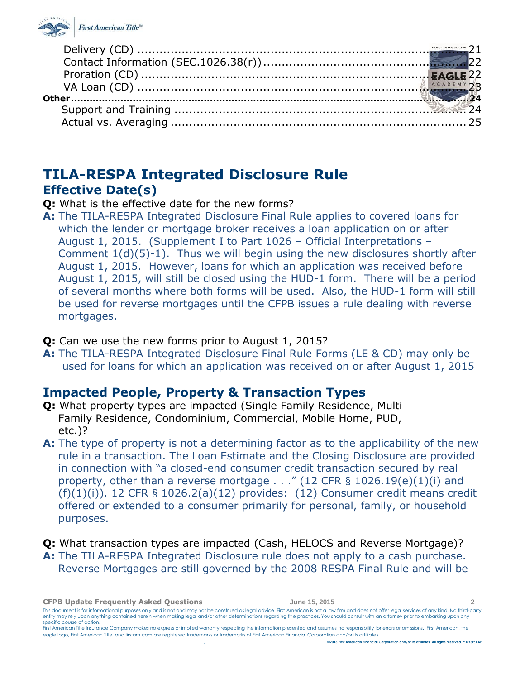

# <span id="page-1-0"></span>**TILA-RESPA Integrated Disclosure Rule Effective Date(s)**

<span id="page-1-1"></span>**Q:** What is the effective date for the new forms?

- **A:** The TILA-RESPA Integrated Disclosure Final Rule applies to covered loans for which the lender or mortgage broker receives a loan application on or after August 1, 2015. (Supplement I to Part 1026 – Official Interpretations – Comment 1(d)(5)-1). Thus we will begin using the new disclosures shortly after August 1, 2015. However, loans for which an application was received before August 1, 2015, will still be closed using the HUD-1 form. There will be a period of several months where both forms will be used. Also, the HUD-1 form will still be used for reverse mortgages until the CFPB issues a rule dealing with reverse mortgages.
- **Q:** Can we use the new forms prior to August 1, 2015?
- **A:** The TILA-RESPA Integrated Disclosure Final Rule Forms (LE & CD) may only be used for loans for which an application was received on or after August 1, 2015

## <span id="page-1-2"></span>**Impacted People, Property & Transaction Types**

- **Q:** What property types are impacted (Single Family Residence, Multi Family Residence, Condominium, Commercial, Mobile Home, PUD, etc.)?
- **A:** The type of property is not a determining factor as to the applicability of the new rule in a transaction. The Loan Estimate and the Closing Disclosure are provided in connection with "a closed-end consumer credit transaction secured by real property, other than a reverse mortgage . . ." (12 CFR § 1026.19(e)(1)(i) and  $(f)(1)(i)$ ). 12 CFR § 1026.2(a)(12) provides: (12) Consumer credit means credit offered or extended to a consumer primarily for personal, family, or household purposes.

**Q:** What transaction types are impacted (Cash, HELOCS and Reverse Mortgage)? **A:** The TILA-RESPA Integrated Disclosure rule does not apply to a cash purchase. Reverse Mortgages are still governed by the 2008 RESPA Final Rule and will be

**CFPB Update Frequently Asked Questions June 15, 2015 2** This document is for informational purposes only and is not and may not be construed as legal advice. First American is not a law firm and does not offer legal services of any kind. No third-party entity may rely upon anything contained herein when making legal and/or other determinations regarding title practices. You should consult with an attorney prior to embarking upon any specific course of action. First American Title Insurance Company makes no express or implied warranty respecting the information presented and assumes no responsibility for errors or omissions. First American, the eagle logo, First American Title, and firstam.com are registered trademarks or trademarks of First American Financial Corporation and/or its affiliates.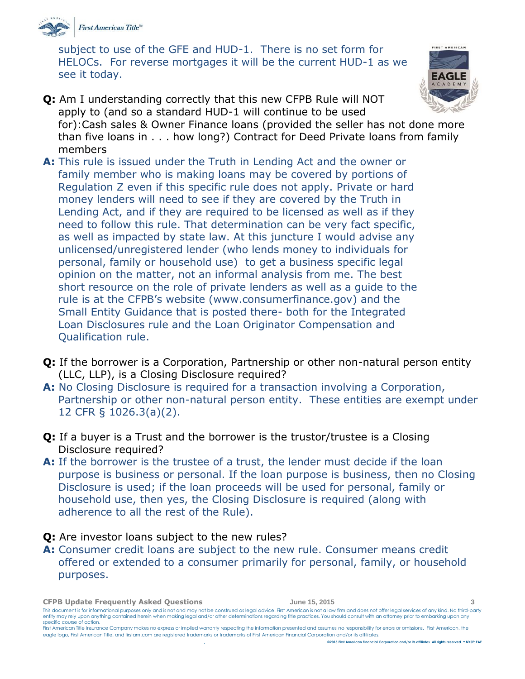

subject to use of the GFE and HUD-1. There is no set form for HELOCs. For reverse mortgages it will be the current HUD-1 as we see it today.



- **Q:** Am I understanding correctly that this new CFPB Rule will NOT apply to (and so a standard HUD-1 will continue to be used for):Cash sales & Owner Finance loans (provided the seller has not done more than five loans in . . . how long?) Contract for Deed Private loans from family members
- **A:** This rule is issued under the Truth in Lending Act and the owner or family member who is making loans may be covered by portions of Regulation Z even if this specific rule does not apply. Private or hard money lenders will need to see if they are covered by the Truth in Lending Act, and if they are required to be licensed as well as if they need to follow this rule. That determination can be very fact specific, as well as impacted by state law. At this juncture I would advise any unlicensed/unregistered lender (who lends money to individuals for personal, family or household use) to get a business specific legal opinion on the matter, not an informal analysis from me. The best short resource on the role of private lenders as well as a guide to the rule is at the CFPB's website (www.consumerfinance.gov) and the Small Entity Guidance that is posted there- both for the Integrated Loan Disclosures rule and the Loan Originator Compensation and Qualification rule.
- **Q:** If the borrower is a Corporation, Partnership or other non-natural person entity (LLC, LLP), is a Closing Disclosure required?
- **A:** No Closing Disclosure is required for a transaction involving a Corporation, Partnership or other non-natural person entity. These entities are exempt under 12 CFR § 1026.3(a)(2).
- **Q:** If a buyer is a Trust and the borrower is the trustor/trustee is a Closing Disclosure required?
- **A:** If the borrower is the trustee of a trust, the lender must decide if the loan purpose is business or personal. If the loan purpose is business, then no Closing Disclosure is used; if the loan proceeds will be used for personal, family or household use, then yes, the Closing Disclosure is required (along with adherence to all the rest of the Rule).

### **Q:** Are investor loans subject to the new rules?

**A:** Consumer credit loans are subject to the new rule. Consumer means credit offered or extended to a consumer primarily for personal, family, or household purposes.

**CFPB Update Frequently Asked Questions June 15, 2015 3**

This document is for informational purposes only and is not and may not be construed as legal advice. First American is not a law firm and does not offer legal services of any kind. No third-party entity may rely upon anything contained herein when making legal and/or other determinations regarding title practices. You should consult with an attorney prior to embarking upon any specific course of action.

First American Title Insurance Company makes no express or implied warranty respecting the information presented and assumes no responsibility for errors or omissions. First American, the eagle logo, First American Title, and firstam.com are registered trademarks or trademarks of First American Financial Corporation and/or its affiliates.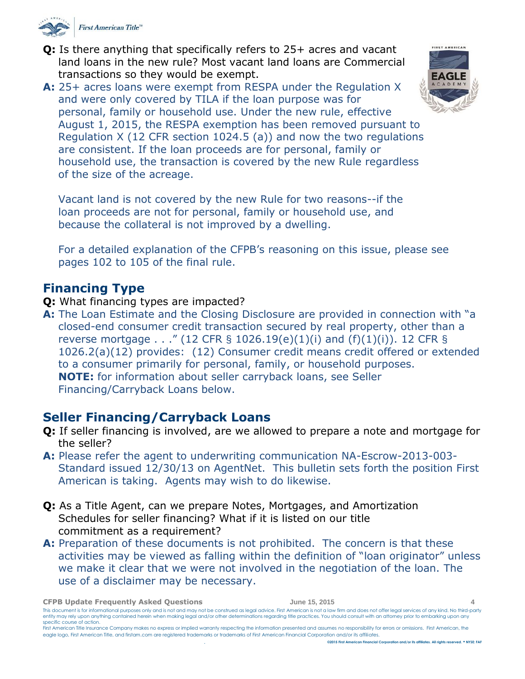

**Q:** Is there anything that specifically refers to 25+ acres and vacant land loans in the new rule? Most vacant land loans are Commercial transactions so they would be exempt.

**A:** 25+ acres loans were exempt from RESPA under the Regulation X and were only covered by TILA if the loan purpose was for personal, family or household use. Under the new rule, effective August 1, 2015, the RESPA exemption has been removed pursuant to Regulation X (12 CFR section 1024.5 (a)) and now the two regulations are consistent. If the loan proceeds are for personal, family or household use, the transaction is covered by the new Rule regardless of the size of the acreage.

Vacant land is not covered by the new Rule for two reasons--if the loan proceeds are not for personal, family or household use, and because the collateral is not improved by a dwelling.

For a detailed explanation of the CFPB's reasoning on this issue, please see pages 102 to 105 of the final rule.

### <span id="page-3-0"></span>**Financing Type**

### **Q:** What financing types are impacted?

**A:** The Loan Estimate and the Closing Disclosure are provided in connection with "a closed-end consumer credit transaction secured by real property, other than a reverse mortgage . . ." (12 CFR § 1026.19(e)(1)(i) and (f)(1)(i)). 12 CFR § 1026.2(a)(12) provides: (12) Consumer credit means credit offered or extended to a consumer primarily for personal, family, or household purposes. **NOTE:** for information about seller carryback loans, see Seller Financing/Carryback Loans below.

### <span id="page-3-1"></span>**Seller Financing/Carryback Loans**

- **Q:** If seller financing is involved, are we allowed to prepare a note and mortgage for the seller?
- **A:** Please refer the agent to underwriting communication NA-Escrow-2013-003- Standard issued 12/30/13 on AgentNet. This bulletin sets forth the position First American is taking. Agents may wish to do likewise.
- **Q:** As a Title Agent, can we prepare Notes, Mortgages, and Amortization Schedules for seller financing? What if it is listed on our title commitment as a requirement?
- **A:** Preparation of these documents is not prohibited. The concern is that these activities may be viewed as falling within the definition of "loan originator" unless we make it clear that we were not involved in the negotiation of the loan. The use of a disclaimer may be necessary.

**CFPB Update Frequently Asked Questions June 15, 2015 4**



This document is for informational purposes only and is not and may not be construed as legal advice. First American is not a law firm and does not offer legal services of any kind. No third-party entity may rely upon anything contained herein when making legal and/or other determinations regarding title practices. You should consult with an attorney prior to embarking upon any specific course of action.

First American Title Insurance Company makes no express or implied warranty respecting the information presented and assumes no responsibility for errors or omissions. First American, the eagle logo, First American Title, and firstam.com are registered trademarks or trademarks of First American Financial Corporation and/or its affiliates.

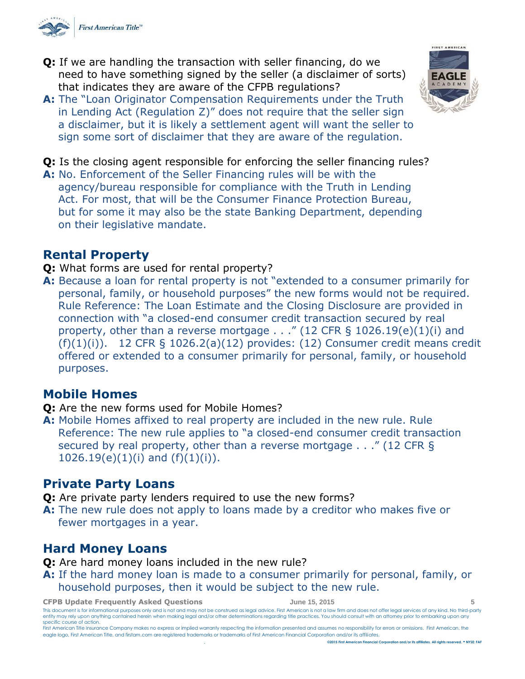

- **Q:** If we are handling the transaction with seller financing, do we need to have something signed by the seller (a disclaimer of sorts) that indicates they are aware of the CFPB regulations?
- **A:** The "Loan Originator Compensation Requirements under the Truth in Lending Act (Regulation Z)" does not require that the seller sign a disclaimer, but it is likely a settlement agent will want the seller to sign some sort of disclaimer that they are aware of the regulation.

**Q:** Is the closing agent responsible for enforcing the seller financing rules?

**A:** No. Enforcement of the Seller Financing rules will be with the agency/bureau responsible for compliance with the Truth in Lending Act. For most, that will be the Consumer Finance Protection Bureau, but for some it may also be the state Banking Department, depending on their legislative mandate.

### <span id="page-4-0"></span>**Rental Property**

- **Q:** What forms are used for rental property?
- **A:** Because a loan for rental property is not "extended to a consumer primarily for personal, family, or household purposes" the new forms would not be required. Rule Reference: The Loan Estimate and the Closing Disclosure are provided in connection with "a closed-end consumer credit transaction secured by real property, other than a reverse mortgage . . ." (12 CFR § 1026.19(e)(1)(i) and  $(f)(1)(i)$ . 12 CFR § 1026.2(a)(12) provides: (12) Consumer credit means credit offered or extended to a consumer primarily for personal, family, or household purposes.

### <span id="page-4-1"></span>**Mobile Homes**

- **Q:** Are the new forms used for Mobile Homes?
- **A:** Mobile Homes affixed to real property are included in the new rule. Rule Reference: The new rule applies to "a closed-end consumer credit transaction secured by real property, other than a reverse mortgage . . ." (12 CFR §  $1026.19(e)(1)(i)$  and  $(f)(1)(i)$ .

### <span id="page-4-2"></span>**Private Party Loans**

- **Q:** Are private party lenders required to use the new forms?
- **A:** The new rule does not apply to loans made by a creditor who makes five or fewer mortgages in a year.

## <span id="page-4-3"></span>**Hard Money Loans**

**Q:** Are hard money loans included in the new rule?

**A:** If the hard money loan is made to a consumer primarily for personal, family, or household purposes, then it would be subject to the new rule.

**CFPB Update Frequently Asked Questions June 15, 2015 5**



This document is for informational purposes only and is not and may not be construed as legal advice. First American is not a law firm and does not offer legal services of any kind. No third-party entity may rely upon anything contained herein when making legal and/or other determinations regarding title practices. You should consult with an attorney prior to embarking upon any specific course of action.



First American Title Insurance Company makes no express or implied warranty respecting the information presented and assumes no responsibility for errors or omissions. First American, the eagle logo, First American Title, and firstam.com are registered trademarks or trademarks of First American Financial Corporation and/or its affiliates. . **©2015 First American Financial Corporation and/or its affiliates. All rights reserved. NYSE: FAF**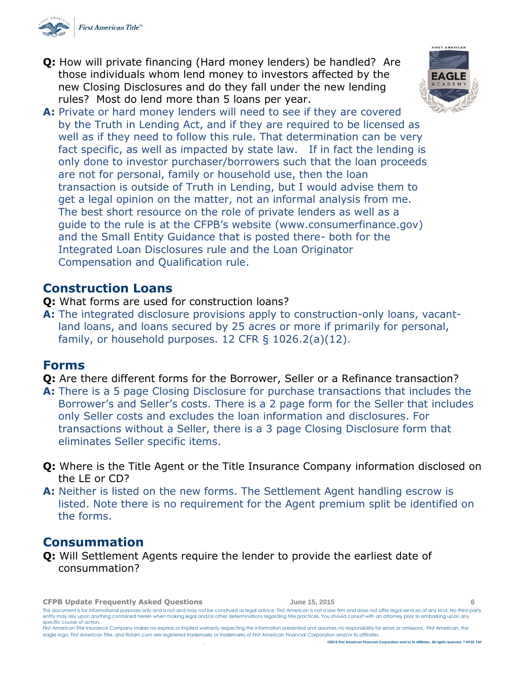

**Q:** How will private financing (Hard money lenders) be handled? Are those individuals whom lend money to investors affected by the new Closing Disclosures and do they fall under the new lending rules? Most do lend more than 5 loans per year.



**A:** Private or hard money lenders will need to see if they are covered by the Truth in Lending Act, and if they are required to be licensed as well as if they need to follow this rule. That determination can be very fact specific, as well as impacted by state law. If in fact the lending is only done to investor purchaser/borrowers such that the loan proceeds are not for personal, family or household use, then the loan transaction is outside of Truth in Lending, but I would advise them to get a legal opinion on the matter, not an informal analysis from me. The best short resource on the role of private lenders as well as a guide to the rule is at the CFPB's website (www.consumerfinance.gov) and the Small Entity Guidance that is posted there- both for the Integrated Loan Disclosures rule and the Loan Originator Compensation and Qualification rule.

### <span id="page-5-0"></span>**Construction Loans**

- **Q:** What forms are used for construction loans?
- **A:** The integrated disclosure provisions apply to construction-only loans, vacantland loans, and loans secured by 25 acres or more if primarily for personal, family, or household purposes. 12 CFR  $\S$  1026.2(a)(12).

### <span id="page-5-1"></span>**Forms**

- **Q:** Are there different forms for the Borrower, Seller or a Refinance transaction?
- **A:** There is a 5 page Closing Disclosure for purchase transactions that includes the Borrower's and Seller's costs. There is a 2 page form for the Seller that includes only Seller costs and excludes the loan information and disclosures. For transactions without a Seller, there is a 3 page Closing Disclosure form that eliminates Seller specific items.
- **Q:** Where is the Title Agent or the Title Insurance Company information disclosed on the LE or CD?
- **A:** Neither is listed on the new forms. The Settlement Agent handling escrow is listed. Note there is no requirement for the Agent premium split be identified on the forms.

### <span id="page-5-2"></span>**Consummation**

**Q:** Will Settlement Agents require the lender to provide the earliest date of consummation?

**CFPB Update Frequently Asked Questions June 15, 2015 6** This document is for informational purposes only and is not and may not be construed as legal advice. First American is not a law firm and does not offer legal services of any kind. No third-party entity may rely upon anything contained herein when making legal and/or other determinations regarding title practices. You should consult with an attorney prior to embarking upon any specific course of action. First American Title Insurance Company makes no express or implied warranty respecting the information presented and assumes no responsibility for errors or omissions. First American, the eagle logo, First American Title, and firstam.com are registered trademarks or trademarks of First American Financial Corporation and/or its affiliates.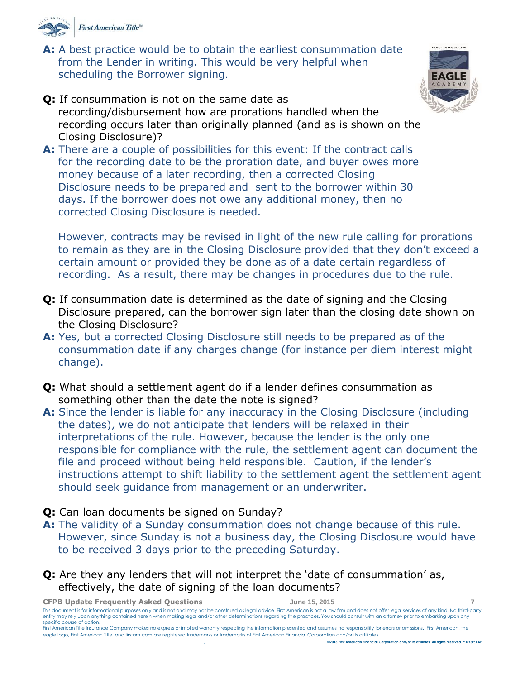

**A:** A best practice would be to obtain the earliest consummation date from the Lender in writing. This would be very helpful when scheduling the Borrower signing.



- **Q:** If consummation is not on the same date as recording/disbursement how are prorations handled when the recording occurs later than originally planned (and as is shown on the Closing Disclosure)?
- **A:** There are a couple of possibilities for this event: If the contract calls for the recording date to be the proration date, and buyer owes more money because of a later recording, then a corrected Closing Disclosure needs to be prepared and sent to the borrower within 30 days. If the borrower does not owe any additional money, then no corrected Closing Disclosure is needed.

However, contracts may be revised in light of the new rule calling for prorations to remain as they are in the Closing Disclosure provided that they don't exceed a certain amount or provided they be done as of a date certain regardless of recording. As a result, there may be changes in procedures due to the rule.

- **Q:** If consummation date is determined as the date of signing and the Closing Disclosure prepared, can the borrower sign later than the closing date shown on the Closing Disclosure?
- **A:** Yes, but a corrected Closing Disclosure still needs to be prepared as of the consummation date if any charges change (for instance per diem interest might change).
- **Q:** What should a settlement agent do if a lender defines consummation as something other than the date the note is signed?
- **A:** Since the lender is liable for any inaccuracy in the Closing Disclosure (including the dates), we do not anticipate that lenders will be relaxed in their interpretations of the rule. However, because the lender is the only one responsible for compliance with the rule, the settlement agent can document the file and proceed without being held responsible. Caution, if the lender's instructions attempt to shift liability to the settlement agent the settlement agent should seek guidance from management or an underwriter.
- **Q:** Can loan documents be signed on Sunday?
- **A:** The validity of a Sunday consummation does not change because of this rule. However, since Sunday is not a business day, the Closing Disclosure would have to be received 3 days prior to the preceding Saturday.
- **Q:** Are they any lenders that will not interpret the 'date of consummation' as, effectively, the date of signing of the loan documents?

**CFPB Update Frequently Asked Questions June 15, 2015 7**

This document is for informational purposes only and is not and may not be construed as legal advice. First American is not a law firm and does not offer legal services of any kind. No third-party entity may rely upon anything contained herein when making legal and/or other determinations regarding title practices. You should consult with an attorney prior to embarking upon any specific course of action.

First American Title Insurance Company makes no express or implied warranty respecting the information presented and assumes no responsibility for errors or omissions. First American, the eagle logo, First American Title, and firstam.com are registered trademarks or trademarks of First American Financial Corporation and/or its affiliates. . **©2015 First American Financial Corporation and/or its affiliates. All rights reserved. NYSE: FAF**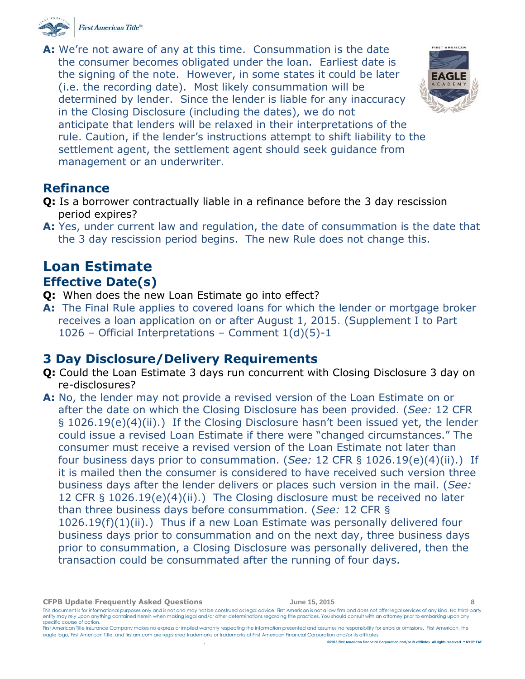

**A:** We're not aware of any at this time. Consummation is the date the consumer becomes obligated under the loan. Earliest date is the signing of the note. However, in some states it could be later (i.e. the recording date). Most likely consummation will be determined by lender. Since the lender is liable for any inaccuracy in the Closing Disclosure (including the dates), we do not anticipate that lenders will be relaxed in their interpretations of the rule. Caution, if the lender's instructions attempt to shift liability to the settlement agent, the settlement agent should seek guidance from management or an underwriter.



### <span id="page-7-0"></span>**Refinance**

- **Q:** Is a borrower contractually liable in a refinance before the 3 day rescission period expires?
- **A:** Yes, under current law and regulation, the date of consummation is the date that the 3 day rescission period begins. The new Rule does not change this.

## <span id="page-7-2"></span><span id="page-7-1"></span>**Loan Estimate Effective Date(s)**

- **Q:** When does the new Loan Estimate go into effect?
- **A:** The Final Rule applies to covered loans for which the lender or mortgage broker receives a loan application on or after August 1, 2015. (Supplement I to Part 1026 – Official Interpretations – Comment  $1(d)(5)-1$

### <span id="page-7-3"></span>**3 Day Disclosure/Delivery Requirements**

- **Q:** Could the Loan Estimate 3 days run concurrent with Closing Disclosure 3 day on re-disclosures?
- **A:** No, the lender may not provide a revised version of the Loan Estimate on or after the date on which the Closing Disclosure has been provided. (*See:* 12 CFR § 1026.19(e)(4)(ii).) If the Closing Disclosure hasn't been issued yet, the lender could issue a revised Loan Estimate if there were "changed circumstances." The consumer must receive a revised version of the Loan Estimate not later than four business days prior to consummation. (*See:* 12 CFR § 1026.19(e)(4)(ii).) If it is mailed then the consumer is considered to have received such version three business days after the lender delivers or places such version in the mail. (*See:*  12 CFR § 1026.19(e)(4)(ii).) The Closing disclosure must be received no later than three business days before consummation. (*See:* 12 CFR § 1026.19(f)(1)(ii).) Thus if a new Loan Estimate was personally delivered four business days prior to consummation and on the next day, three business days prior to consummation, a Closing Disclosure was personally delivered, then the transaction could be consummated after the running of four days.

**CFPB Update Frequently Asked Questions June 15, 2015 8**

This document is for informational purposes only and is not and may not be construed as legal advice. First American is not a law firm and does not offer legal services of any kind. No third-party entity may rely upon anything contained herein when making legal and/or other determinations regarding title practices. You should consult with an attorney prior to embarking upon any specific course of action.

First American Title Insurance Company makes no express or implied warranty respecting the information presented and assumes no responsibility for errors or omissions. First American, the eagle logo, First American Title, and firstam.com are registered trademarks or trademarks of First American Financial Corporation and/or its affiliates.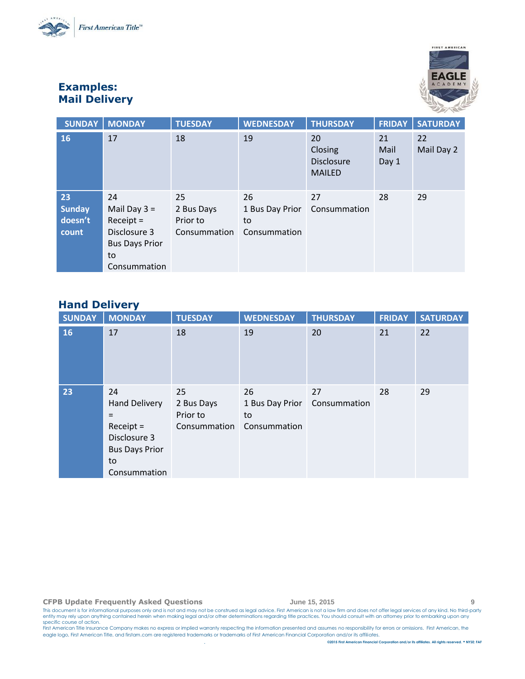



### **Examples: Mail Delivery**

| <b>SUNDAY</b>                           | <b>MONDAY</b>                                                                                      | <b>TUESDAY</b>                               | <b>WEDNESDAY</b>                            | <b>THURSDAY</b>                                     | <b>FRIDAY</b>       | <b>SATURDAY</b>  |
|-----------------------------------------|----------------------------------------------------------------------------------------------------|----------------------------------------------|---------------------------------------------|-----------------------------------------------------|---------------------|------------------|
| 16                                      | 17                                                                                                 | 18                                           | 19                                          | 20<br>Closing<br><b>Disclosure</b><br><b>MAILED</b> | 21<br>Mail<br>Day 1 | 22<br>Mail Day 2 |
| 23<br><b>Sunday</b><br>doesn't<br>count | 24<br>Mail Day $3 =$<br>$Receipt =$<br>Disclosure 3<br><b>Bus Days Prior</b><br>to<br>Consummation | 25<br>2 Bus Days<br>Prior to<br>Consummation | 26<br>1 Bus Day Prior<br>to<br>Consummation | 27<br>Consummation                                  | 28                  | 29               |

### **Hand Delivery**

| <b>SUNDAY</b> | <b>MONDAY</b>                                                                                                   | <b>TUESDAY</b>                               | <b>WEDNESDAY</b>                            | <b>THURSDAY</b>    | <b>FRIDAY</b> | <b>SATURDAY</b> |
|---------------|-----------------------------------------------------------------------------------------------------------------|----------------------------------------------|---------------------------------------------|--------------------|---------------|-----------------|
| 16            | 17                                                                                                              | 18                                           | 19                                          | 20                 | 21            | 22              |
| 23            | 24<br><b>Hand Delivery</b><br>$=$<br>$Receipt =$<br>Disclosure 3<br><b>Bus Days Prior</b><br>to<br>Consummation | 25<br>2 Bus Days<br>Prior to<br>Consummation | 26<br>1 Bus Day Prior<br>to<br>Consummation | 27<br>Consummation | 28            | 29              |

#### **CFPB Update Frequently Asked Questions June 15, 2015 9**

This document is for informational purposes only and is not and may not be construed as legal advice. First American is not a law firm and does not offer legal services of any kind. No third-party<br>specific course of action

eagle logo, First American Title, and firstam.com are registered trademarks or trademarks of First American Financial Corporation and/or its affiliates.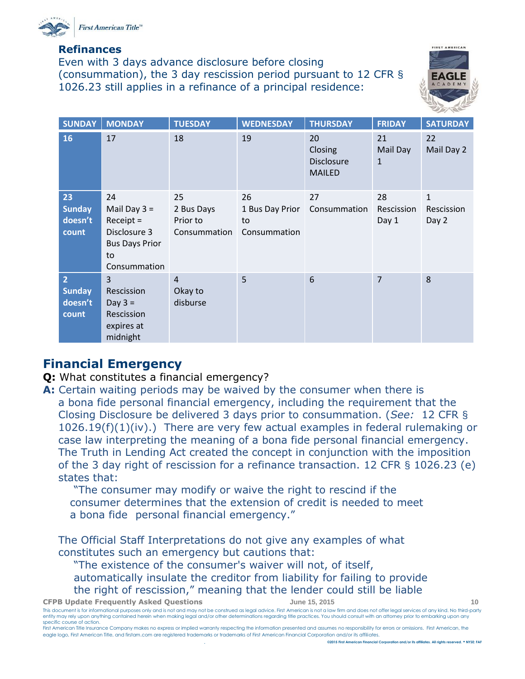

#### **Refinances**

Even with 3 days advance disclosure before closing (consummation), the 3 day rescission period pursuant to 12 CFR § 1026.23 still applies in a refinance of a principal residence:



| <b>SUNDAY</b>                                       | <b>MONDAY</b>                                                                                      | <b>TUESDAY</b>                               | <b>WEDNESDAY</b>                            | <b>THURSDAY</b>                                     | <b>FRIDAY</b>                  | <b>SATURDAY</b>                     |
|-----------------------------------------------------|----------------------------------------------------------------------------------------------------|----------------------------------------------|---------------------------------------------|-----------------------------------------------------|--------------------------------|-------------------------------------|
| <b>16</b>                                           | 17                                                                                                 | 18                                           | 19                                          | 20<br>Closing<br><b>Disclosure</b><br><b>MAILED</b> | 21<br>Mail Day<br>$\mathbf{1}$ | 22<br>Mail Day 2                    |
| 23<br><b>Sunday</b><br>doesn't<br>count             | 24<br>Mail Day $3 =$<br>$Receipt =$<br>Disclosure 3<br><b>Bus Days Prior</b><br>to<br>Consummation | 25<br>2 Bus Days<br>Prior to<br>Consummation | 26<br>1 Bus Day Prior<br>to<br>Consummation | 27<br>Consummation                                  | 28<br>Rescission<br>Day 1      | $\mathbf{1}$<br>Rescission<br>Day 2 |
| $\overline{2}$<br><b>Sunday</b><br>doesn't<br>count | 3<br>Rescission<br>Day $3 =$<br>Rescission<br>expires at<br>midnight                               | $\overline{4}$<br>Okay to<br>disburse        | 5                                           | 6                                                   | $\overline{7}$                 | 8                                   |

### <span id="page-9-0"></span>**Financial Emergency**

- **Q:** What constitutes a financial emergency?
- **A:** Certain waiting periods may be waived by the consumer when there is a bona fide personal financial emergency, including the requirement that the Closing Disclosure be delivered 3 days prior to consummation. (*See:* 12 CFR § 1026.19(f)(1)(iv).) There are very few actual examples in federal rulemaking or case law interpreting the meaning of a bona fide personal financial emergency. The Truth in Lending Act created the concept in conjunction with the imposition of the 3 day right of rescission for a refinance transaction. 12 CFR § 1026.23 (e) states that:

"The consumer may modify or waive the right to rescind if the consumer determines that the extension of credit is needed to meet a bona fide personal financial emergency."

The Official Staff Interpretations do not give any examples of what constitutes such an emergency but cautions that:

"The existence of the consumer's waiver will not, of itself,

automatically insulate the creditor from liability for failing to provide

the right of rescission," meaning that the lender could still be liable

**CFPB Update Frequently Asked Questions June 15, 2015 10**

This document is for informational purposes only and is not and may not be construed as legal advice. First American is not a law firm and does not offer legal services of any kind. No third-party entity may rely upon anything contained herein when making legal and/or other determinations regarding title practices. You should consult with an attorney prior to embarking upon any specific course of action.

First American Title Insurance Company makes no express or implied warranty respecting the information presented and assumes no responsibility for errors or omissions. First American, the eagle logo, First American Title, and firstam.com are registered trademarks or trademarks of First American Financial Corporation and/or its affiliates.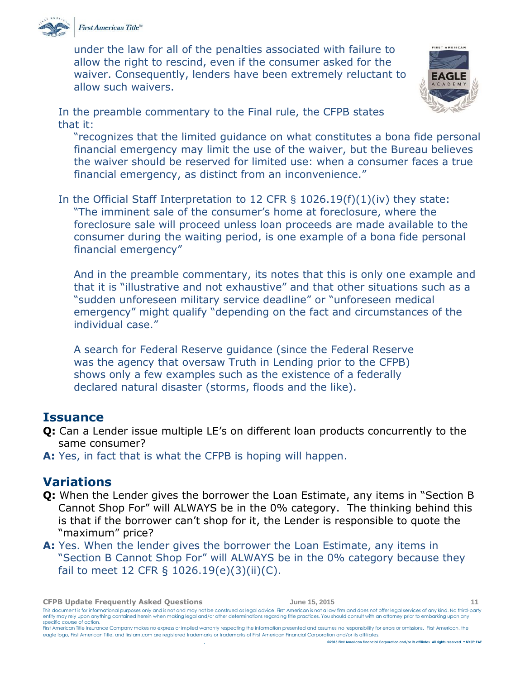

First American Title™

under the law for all of the penalties associated with failure to allow the right to rescind, even if the consumer asked for the waiver. Consequently, lenders have been extremely reluctant to allow such waivers.



In the preamble commentary to the Final rule, the CFPB states that it:

"recognizes that the limited guidance on what constitutes a bona fide personal financial emergency may limit the use of the waiver, but the Bureau believes the waiver should be reserved for limited use: when a consumer faces a true financial emergency, as distinct from an inconvenience."

In the Official Staff Interpretation to 12 CFR § 1026.19(f)(1)(iv) they state: "The imminent sale of the consumer's home at foreclosure, where the foreclosure sale will proceed unless loan proceeds are made available to the consumer during the waiting period, is one example of a bona fide personal financial emergency"

And in the preamble commentary, its notes that this is only one example and that it is "illustrative and not exhaustive" and that other situations such as a "sudden unforeseen military service deadline" or "unforeseen medical emergency" might qualify "depending on the fact and circumstances of the individual case."

A search for Federal Reserve guidance (since the Federal Reserve was the agency that oversaw Truth in Lending prior to the CFPB) shows only a few examples such as the existence of a federally declared natural disaster (storms, floods and the like).

### <span id="page-10-0"></span>**Issuance**

- **Q:** Can a Lender issue multiple LE's on different loan products concurrently to the same consumer?
- **A:** Yes, in fact that is what the CFPB is hoping will happen.

### <span id="page-10-1"></span>**Variations**

- **Q:** When the Lender gives the borrower the Loan Estimate, any items in "Section B Cannot Shop For" will ALWAYS be in the 0% category. The thinking behind this is that if the borrower can't shop for it, the Lender is responsible to quote the "maximum" price?
- **A:** Yes. When the lender gives the borrower the Loan Estimate, any items in "Section B Cannot Shop For" will ALWAYS be in the 0% category because they fail to meet 12 CFR § 1026.19(e)(3)(ii)(C).

**CFPB Update Frequently Asked Questions June 15, 2015 11**

This document is for informational purposes only and is not and may not be construed as legal advice. First American is not a law firm and does not offer legal services of any kind. No third-party entity may rely upon anything contained herein when making legal and/or other determinations regarding title practices. You should consult with an attorney prior to embarking upon any specific course of action.

First American Title Insurance Company makes no express or implied warranty respecting the information presented and assumes no responsibility for errors or omissions. First American, the eagle logo, First American Title, and firstam.com are registered trademarks or trademarks of First American Financial Corporation and/or its affiliates. . **©2015 First American Financial Corporation and/or its affiliates. All rights reserved. NYSE: FAF**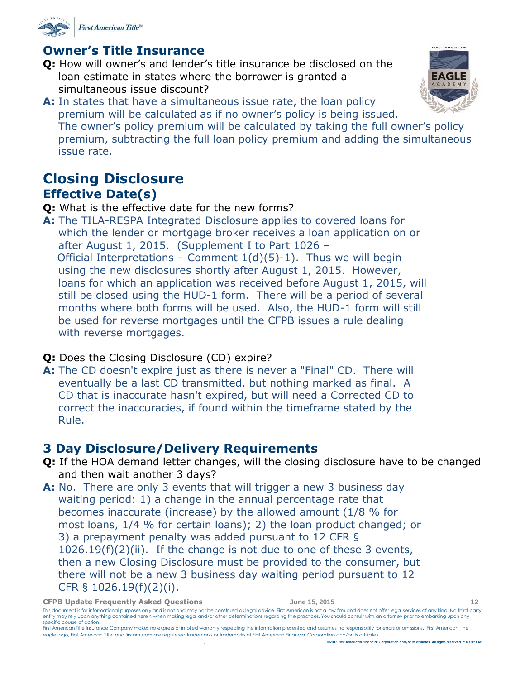

### <span id="page-11-0"></span>**Owner's Title Insurance**

- **Q:** How will owner's and lender's title insurance be disclosed on the loan estimate in states where the borrower is granted a simultaneous issue discount?
- **A:** In states that have a simultaneous issue rate, the loan policy premium will be calculated as if no owner's policy is being issued. The owner's policy premium will be calculated by taking the full owner's policy premium, subtracting the full loan policy premium and adding the simultaneous issue rate.

## <span id="page-11-2"></span><span id="page-11-1"></span>**Closing Disclosure Effective Date(s)**

- **Q:** What is the effective date for the new forms?
- **A:** The TILA-RESPA Integrated Disclosure applies to covered loans for which the lender or mortgage broker receives a loan application on or after August 1, 2015. (Supplement I to Part 1026 – Official Interpretations – Comment  $1(d)(5)-1$ ). Thus we will begin using the new disclosures shortly after August 1, 2015. However, loans for which an application was received before August 1, 2015, will still be closed using the HUD-1 form. There will be a period of several months where both forms will be used. Also, the HUD-1 form will still be used for reverse mortgages until the CFPB issues a rule dealing with reverse mortgages.
- **Q:** Does the Closing Disclosure (CD) expire?
- **A:** The CD doesn't expire just as there is never a "Final" CD. There will eventually be a last CD transmitted, but nothing marked as final. A CD that is inaccurate hasn't expired, but will need a Corrected CD to correct the inaccuracies, if found within the timeframe stated by the Rule.

## <span id="page-11-3"></span>**3 Day Disclosure/Delivery Requirements**

- **Q:** If the HOA demand letter changes, will the closing disclosure have to be changed and then wait another 3 days?
- **A:** No. There are only 3 events that will trigger a new 3 business day waiting period: 1) a change in the annual percentage rate that becomes inaccurate (increase) by the allowed amount (1/8 % for most loans, 1/4 % for certain loans); 2) the loan product changed; or 3) a prepayment penalty was added pursuant to 12 CFR § 1026.19(f)(2)(ii). If the change is not due to one of these 3 events, then a new Closing Disclosure must be provided to the consumer, but there will not be a new 3 business day waiting period pursuant to 12 CFR § 1026.19(f)(2)(i).



FIRST AMERICAN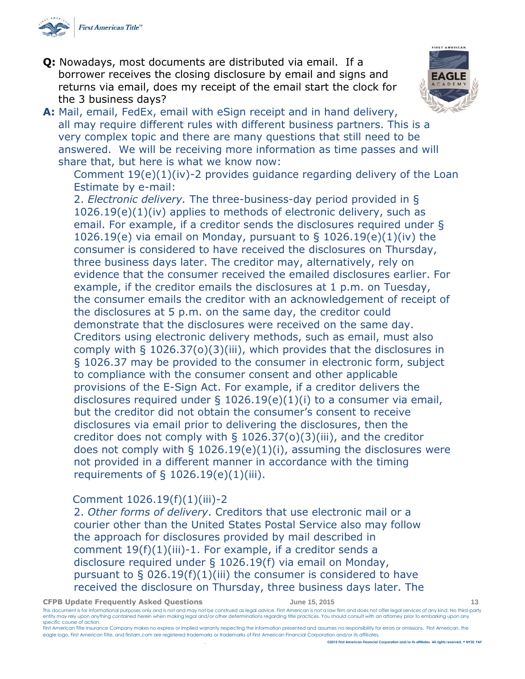

**Q:** Nowadays, most documents are distributed via email. If a borrower receives the closing disclosure by email and signs and returns via email, does my receipt of the email start the clock for the 3 business days?



**A:** Mail, email, FedEx, email with eSign receipt and in hand delivery, all may require different rules with different business partners. This is a very complex topic and there are many questions that still need to be answered. We will be receiving more information as time passes and will share that, but here is what we know now:

Comment 19(e)(1)(iv)-2 provides guidance regarding delivery of the Loan Estimate by e-mail:

2. *Electronic delivery.* The three-business-day period provided in § 1026.19(e)(1)(iv) applies to methods of electronic delivery, such as email. For example, if a creditor sends the disclosures required under § 1026.19(e) via email on Monday, pursuant to  $\S$  1026.19(e)(1)(iv) the consumer is considered to have received the disclosures on Thursday, three business days later. The creditor may, alternatively, rely on evidence that the consumer received the emailed disclosures earlier. For example, if the creditor emails the disclosures at 1 p.m. on Tuesday, the consumer emails the creditor with an acknowledgement of receipt of the disclosures at 5 p.m. on the same day, the creditor could demonstrate that the disclosures were received on the same day. Creditors using electronic delivery methods, such as email, must also comply with § 1026.37(o)(3)(iii), which provides that the disclosures in § 1026.37 may be provided to the consumer in electronic form, subject to compliance with the consumer consent and other applicable provisions of the E-Sign Act. For example, if a creditor delivers the disclosures required under § 1026.19(e)(1)(i) to a consumer via email, but the creditor did not obtain the consumer's consent to receive disclosures via email prior to delivering the disclosures, then the creditor does not comply with § 1026.37(o)(3)(iii), and the creditor does not comply with  $\S$  1026.19(e)(1)(i), assuming the disclosures were not provided in a different manner in accordance with the timing requirements of  $\S$  1026.19(e)(1)(iii).

#### Comment 1026.19(f)(1)(iii)-2

2. *Other forms of delivery*. Creditors that use electronic mail or a courier other than the United States Postal Service also may follow the approach for disclosures provided by mail described in comment  $19(f)(1)(iii)-1$ . For example, if a creditor sends a disclosure required under § 1026.19(f) via email on Monday, pursuant to  $\S$  026.19(f)(1)(iii) the consumer is considered to have received the disclosure on Thursday, three business days later. The

**CFPB Update Frequently Asked Questions June 15, 2015 13**

This document is for informational purposes only and is not and may not be construed as legal advice. First American is not a law firm and does not offer legal services of any kind. No third-party entity may rely upon anything contained herein when making legal and/or other determinations regarding title practices. You should consult with an attorney prior to embarking upon any specific course of action. First American Title Insurance Company makes no express or implied warranty respecting the information presented and assumes no responsibility for errors or omissions. First American, the

eagle logo, First American Title, and firstam.com are registered trademarks or trademarks of First American Financial Corporation and/or its affiliates. . **©2015 First American Financial Corporation and/or its affiliates. All rights reserved. NYSE: FAF**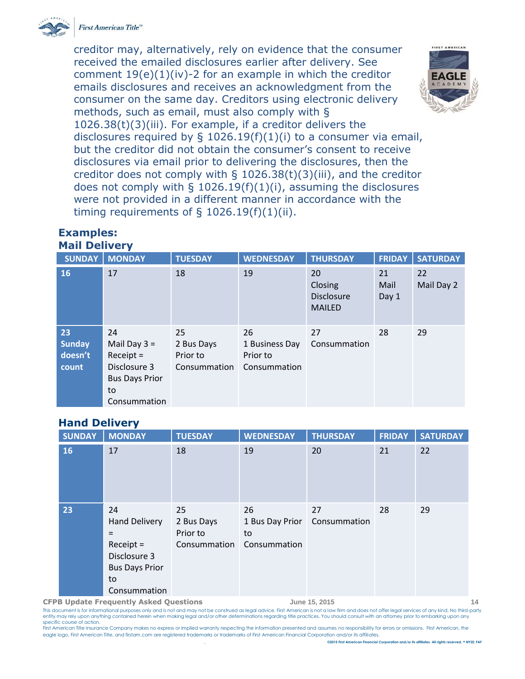

First American Title™

creditor may, alternatively, rely on evidence that the consumer received the emailed disclosures earlier after delivery. See comment  $19(e)(1)(iv)$ -2 for an example in which the creditor emails disclosures and receives an acknowledgment from the consumer on the same day. Creditors using electronic delivery methods, such as email, must also comply with § 1026.38(t)(3)(iii). For example, if a creditor delivers the disclosures required by § 1026.19(f)(1)(i) to a consumer via email, but the creditor did not obtain the consumer's consent to receive disclosures via email prior to delivering the disclosures, then the creditor does not comply with § 1026.38(t)(3)(iii), and the creditor does not comply with  $\S$  1026.19(f)(1)(i), assuming the disclosures were not provided in a different manner in accordance with the timing requirements of  $\S$  1026.19(f)(1)(ii).



#### **Examples: Mail Delivery**

| <b>SUNDAY</b>                           | <b>MONDAY</b>                                                                                      | <b>TUESDAY</b>                               | <b>WEDNESDAY</b>                                 | <b>THURSDAY</b>                                     | <b>FRIDAY</b>       | <b>SATURDAY</b>  |
|-----------------------------------------|----------------------------------------------------------------------------------------------------|----------------------------------------------|--------------------------------------------------|-----------------------------------------------------|---------------------|------------------|
| 16                                      | 17                                                                                                 | 18                                           | 19                                               | 20<br>Closing<br><b>Disclosure</b><br><b>MAILED</b> | 21<br>Mail<br>Day 1 | 22<br>Mail Day 2 |
| 23<br><b>Sunday</b><br>doesn't<br>count | 24<br>Mail Day $3 =$<br>$Receipt =$<br>Disclosure 3<br><b>Bus Days Prior</b><br>to<br>Consummation | 25<br>2 Bus Days<br>Prior to<br>Consummation | 26<br>1 Business Day<br>Prior to<br>Consummation | 27<br>Consummation                                  | 28                  | 29               |

#### **Hand Delivery**

| <b>SUNDAY</b> | <b>MONDAY</b>                                                                                                   | <b>TUESDAY</b>                               | <b>WEDNESDAY</b>                            | <b>THURSDAY</b>    | <b>FRIDAY</b> | <b>SATURDAY</b> |
|---------------|-----------------------------------------------------------------------------------------------------------------|----------------------------------------------|---------------------------------------------|--------------------|---------------|-----------------|
| 16            | 17                                                                                                              | 18                                           | 19                                          | 20                 | 21            | 22              |
| 23            | 24<br><b>Hand Delivery</b><br>$=$<br>$Receipt =$<br>Disclosure 3<br><b>Bus Days Prior</b><br>to<br>Consummation | 25<br>2 Bus Days<br>Prior to<br>Consummation | 26<br>1 Bus Day Prior<br>to<br>Consummation | 27<br>Consummation | 28            | 29              |

**CFPB Update Frequently Asked Questions June 15, 2015 14**

This document is for informational purposes only and is not and may not be construed as legal advice. First American is not a law firm and does not offer legal services of any kind. No third-party entity may rely upon anything contained herein when making legal and/or other determinations regarding title practices. You should consult with an attorney prior to embarking upon any specific course of action.

First American Title Insurance Company makes no express or implied warranty respecting the information presented and assumes no responsibility for errors or omissions. First American, the eagle logo, First American Title, and firstam.com are registered trademarks or trademarks of First American Financial Corporation and/or its affiliates.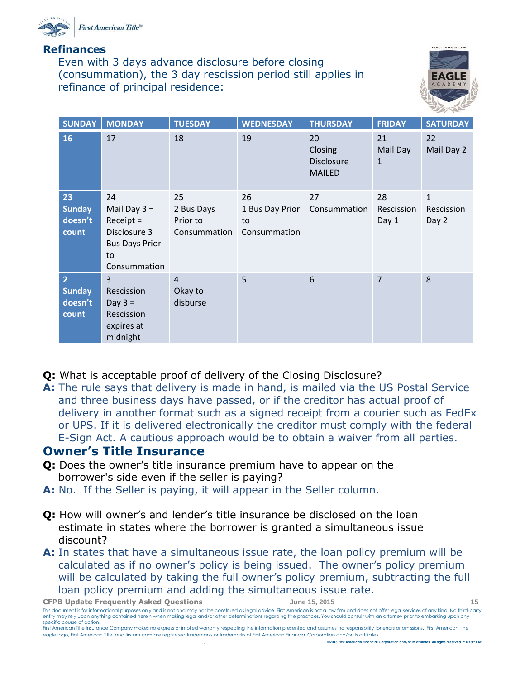

#### **Refinances**

Even with 3 days advance disclosure before closing (consummation), the 3 day rescission period still applies in refinance of principal residence:



| <b>SUNDAY</b>                                       | <b>MONDAY</b>                                                                                      | <b>TUESDAY</b>                               | <b>WEDNESDAY</b>                            | <b>THURSDAY</b>                                     | <b>FRIDAY</b>                  | <b>SATURDAY</b>                     |
|-----------------------------------------------------|----------------------------------------------------------------------------------------------------|----------------------------------------------|---------------------------------------------|-----------------------------------------------------|--------------------------------|-------------------------------------|
| 16                                                  | 17                                                                                                 | 18                                           | 19                                          | 20<br>Closing<br><b>Disclosure</b><br><b>MAILED</b> | 21<br>Mail Day<br>$\mathbf{1}$ | 22<br>Mail Day 2                    |
| 23<br><b>Sunday</b><br>doesn't<br>count             | 24<br>Mail Day $3 =$<br>$Receipt =$<br>Disclosure 3<br><b>Bus Days Prior</b><br>to<br>Consummation | 25<br>2 Bus Days<br>Prior to<br>Consummation | 26<br>1 Bus Day Prior<br>to<br>Consummation | 27<br>Consummation                                  | 28<br>Rescission<br>Day 1      | $\mathbf{1}$<br>Rescission<br>Day 2 |
| $\overline{2}$<br><b>Sunday</b><br>doesn't<br>count | 3<br>Rescission<br>Day $3 =$<br>Rescission<br>expires at<br>midnight                               | $\overline{4}$<br>Okay to<br>disburse        | 5                                           | $6\phantom{1}6$                                     | $\overline{7}$                 | 8                                   |

- **Q:** What is acceptable proof of delivery of the Closing Disclosure?
- **A:** The rule says that delivery is made in hand, is mailed via the US Postal Service and three business days have passed, or if the creditor has actual proof of delivery in another format such as a signed receipt from a courier such as FedEx or UPS. If it is delivered electronically the creditor must comply with the federal E-Sign Act. A cautious approach would be to obtain a waiver from all parties.

### <span id="page-14-0"></span>**Owner's Title Insurance**

- **Q:** Does the owner's title insurance premium have to appear on the borrower's side even if the seller is paying?
- **A:** No. If the Seller is paying, it will appear in the Seller column.
- **Q:** How will owner's and lender's title insurance be disclosed on the loan estimate in states where the borrower is granted a simultaneous issue discount?
- **A:** In states that have a simultaneous issue rate, the loan policy premium will be calculated as if no owner's policy is being issued. The owner's policy premium will be calculated by taking the full owner's policy premium, subtracting the full loan policy premium and adding the simultaneous issue rate.

**CFPB Update Frequently Asked Questions June 15, 2015 15**

This document is for informational purposes only and is not and may not be construed as legal advice. First American is not a law firm and does not offer legal services of any kind. No third-party entity may rely upon anything contained herein when making legal and/or other determinations regarding title practices. You should consult with an attorney prior to embarking upon any specific course of action.

First American Title Insurance Company makes no express or implied warranty respecting the information presented and assumes no responsibility for errors or omissions. First American, the eagle logo, First American Title, and firstam.com are registered trademarks or trademarks of First American Financial Corporation and/or its affiliates. . **©2015 First American Financial Corporation and/or its affiliates. All rights reserved. NYSE: FAF**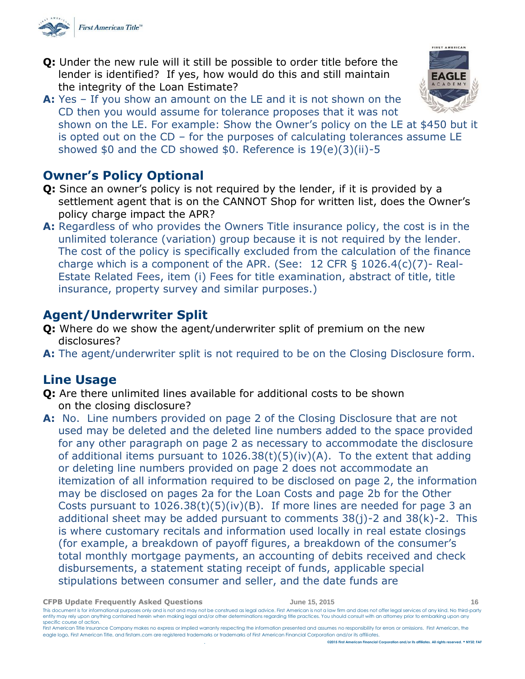

- **Q:** Under the new rule will it still be possible to order title before the lender is identified? If yes, how would do this and still maintain the integrity of the Loan Estimate?
- **A:** Yes If you show an amount on the LE and it is not shown on the CD then you would assume for tolerance proposes that it was not shown on the LE. For example: Show the Owner's policy on the LE at \$450 but it is opted out on the CD – for the purposes of calculating tolerances assume LE showed \$0 and the CD showed \$0. Reference is 19(e)(3)(ii)-5

<span id="page-15-0"></span>

- **Q:** Since an owner's policy is not required by the lender, if it is provided by a settlement agent that is on the CANNOT Shop for written list, does the Owner's policy charge impact the APR?
- **A:** Regardless of who provides the Owners Title insurance policy, the cost is in the unlimited tolerance (variation) group because it is not required by the lender. The cost of the policy is specifically excluded from the calculation of the finance charge which is a component of the APR. (See:  $12$  CFR §  $1026.4(c)(7)$ - Real-Estate Related Fees, item (i) Fees for title examination, abstract of title, title insurance, property survey and similar purposes.)

### **Agent/Underwriter Split**

- **Q:** Where do we show the agent/underwriter split of premium on the new disclosures?
- **A:** The agent/underwriter split is not required to be on the Closing Disclosure form.

### <span id="page-15-1"></span>**Line Usage**

- **Q:** Are there unlimited lines available for additional costs to be shown on the closing disclosure?
- **A:** No. Line numbers provided on page 2 of the Closing Disclosure that are not used may be deleted and the deleted line numbers added to the space provided for any other paragraph on page 2 as necessary to accommodate the disclosure of additional items pursuant to  $1026.38(t)(5)(iv)(A)$ . To the extent that adding or deleting line numbers provided on page 2 does not accommodate an itemization of all information required to be disclosed on page 2, the information may be disclosed on pages 2a for the Loan Costs and page 2b for the Other Costs pursuant to  $1026.38(t)(5)(iv)(B)$ . If more lines are needed for page 3 an additional sheet may be added pursuant to comments  $38(j)$ -2 and  $38(k)$ -2. This is where customary recitals and information used locally in real estate closings (for example, a breakdown of payoff figures, a breakdown of the consumer's total monthly mortgage payments, an accounting of debits received and check disbursements, a statement stating receipt of funds, applicable special stipulations between consumer and seller, and the date funds are

| <b>CFPB Update Frequently Asked Questions</b>                                                                                                            | June 15, 2015                                                                                                                                                                                                                                                                                                                                                                                   | 16. |
|----------------------------------------------------------------------------------------------------------------------------------------------------------|-------------------------------------------------------------------------------------------------------------------------------------------------------------------------------------------------------------------------------------------------------------------------------------------------------------------------------------------------------------------------------------------------|-----|
| specific course of action.                                                                                                                               | This document is for informational purposes only and is not and may not be construed as legal advice. First American is not a law firm and does not offer legal services of any kind. No third-party<br>entity may rely upon anything contained herein when making legal and/or other determinations regarding title practices. You should consult with an attorney prior to embarking upon any |     |
|                                                                                                                                                          | First American Title Insurance Company makes no express or implied warranty respecting the information presented and assumes no responsibility for errors or omissions. First American, the                                                                                                                                                                                                     |     |
| eagle logo, First American Title, and firstam.com are registered trademarks or trademarks of First American Financial Corporation and/or its affiliates. |                                                                                                                                                                                                                                                                                                                                                                                                 |     |

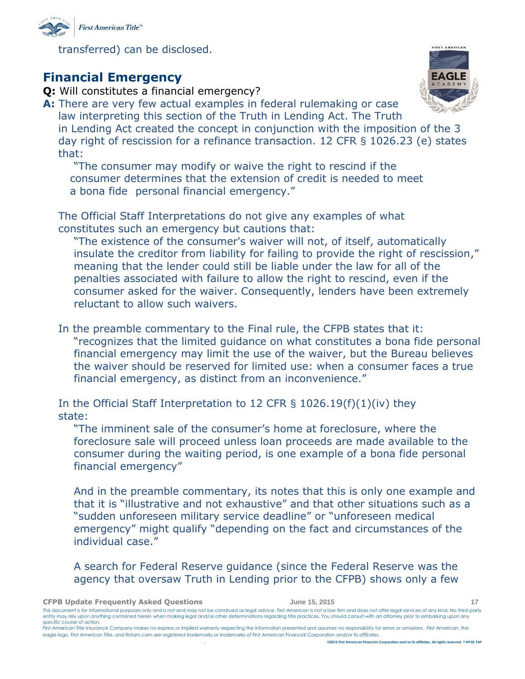

transferred) can be disclosed.

### <span id="page-16-0"></span>**Financial Emergency**

- **Q:** Will constitutes a financial emergency?
- **A:** There are very few actual examples in federal rulemaking or case law interpreting this section of the Truth in Lending Act. The Truth in Lending Act created the concept in conjunction with the imposition of the 3 day right of rescission for a refinance transaction. 12 CFR § 1026.23 (e) states that:

"The consumer may modify or waive the right to rescind if the consumer determines that the extension of credit is needed to meet a bona fide personal financial emergency."

The Official Staff Interpretations do not give any examples of what constitutes such an emergency but cautions that:

"The existence of the consumer's waiver will not, of itself, automatically insulate the creditor from liability for failing to provide the right of rescission," meaning that the lender could still be liable under the law for all of the penalties associated with failure to allow the right to rescind, even if the consumer asked for the waiver. Consequently, lenders have been extremely reluctant to allow such waivers.

In the preamble commentary to the Final rule, the CFPB states that it: "recognizes that the limited guidance on what constitutes a bona fide personal financial emergency may limit the use of the waiver, but the Bureau believes the waiver should be reserved for limited use: when a consumer faces a true financial emergency, as distinct from an inconvenience."

In the Official Staff Interpretation to 12 CFR § 1026.19(f)(1)(iv) they state:

"The imminent sale of the consumer's home at foreclosure, where the foreclosure sale will proceed unless loan proceeds are made available to the consumer during the waiting period, is one example of a bona fide personal financial emergency"

And in the preamble commentary, its notes that this is only one example and that it is "illustrative and not exhaustive" and that other situations such as a "sudden unforeseen military service deadline" or "unforeseen medical emergency" might qualify "depending on the fact and circumstances of the individual case."

A search for Federal Reserve guidance (since the Federal Reserve was the agency that oversaw Truth in Lending prior to the CFPB) shows only a few

| <b>CFPB Update Frequently Asked Ouestions</b> | June 15, 2015 |  |
|-----------------------------------------------|---------------|--|
|                                               |               |  |

This document is for informational purposes only and is not and may not be construed as legal advice. First American is not a law firm and does not offer legal services of any kind. No third-party entity may rely upon anything contained herein when making legal and/or other determinations regarding title practices. You should consult with an attorney prior to embarking upon any specific course of action.

First American Title Insurance Company makes no express or implied warranty respecting the information presented and assumes no responsibility for errors or omissions. First American, the eagle logo, First American Title, and firstam.com are registered trademarks or trademarks of First American Financial Corporation and/or its affiliates.

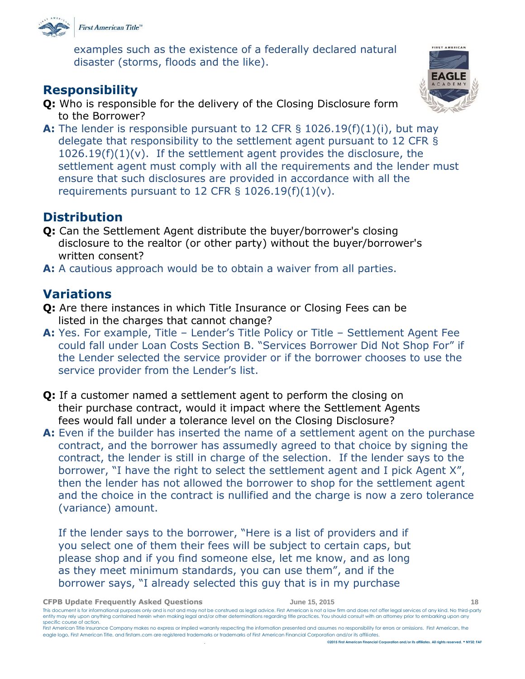

examples such as the existence of a federally declared natural disaster (storms, floods and the like).

### <span id="page-17-0"></span>**Responsibility**

- **Q:** Who is responsible for the delivery of the Closing Disclosure form to the Borrower?
- **A:** The lender is responsible pursuant to 12 CFR § 1026.19(f)(1)(i), but may delegate that responsibility to the settlement agent pursuant to 12 CFR §  $1026.19(f)(1)(v)$ . If the settlement agent provides the disclosure, the settlement agent must comply with all the requirements and the lender must ensure that such disclosures are provided in accordance with all the requirements pursuant to 12 CFR  $\S$  1026.19(f)(1)(v).

### <span id="page-17-1"></span>**Distribution**

- **Q:** Can the Settlement Agent distribute the buyer/borrower's closing disclosure to the realtor (or other party) without the buyer/borrower's written consent?
- **A:** A cautious approach would be to obtain a waiver from all parties.

### <span id="page-17-2"></span>**Variations**

- **Q:** Are there instances in which Title Insurance or Closing Fees can be listed in the charges that cannot change?
- **A:** Yes. For example, Title Lender's Title Policy or Title Settlement Agent Fee could fall under Loan Costs Section B. "Services Borrower Did Not Shop For" if the Lender selected the service provider or if the borrower chooses to use the service provider from the Lender's list.
- **Q:** If a customer named a settlement agent to perform the closing on their purchase contract, would it impact where the Settlement Agents fees would fall under a tolerance level on the Closing Disclosure?
- **A:** Even if the builder has inserted the name of a settlement agent on the purchase contract, and the borrower has assumedly agreed to that choice by signing the contract, the lender is still in charge of the selection. If the lender says to the borrower, "I have the right to select the settlement agent and I pick Agent X", then the lender has not allowed the borrower to shop for the settlement agent and the choice in the contract is nullified and the charge is now a zero tolerance (variance) amount.

If the lender says to the borrower, "Here is a list of providers and if you select one of them their fees will be subject to certain caps, but please shop and if you find someone else, let me know, and as long as they meet minimum standards, you can use them", and if the borrower says, "I already selected this guy that is in my purchase

| <b>CFPB Update Frequently Asked Ouestions</b> | June 15, 2015 |
|-----------------------------------------------|---------------|
|-----------------------------------------------|---------------|

This document is for informational purposes only and is not and may not be construed as legal advice. First American is not a law firm and does not offer legal services of any kind. No third-party entity may rely upon anything contained herein when making legal and/or other determinations regarding title practices. You should consult with an attorney prior to embarking upon any specific course of action.

First American Title Insurance Company makes no express or implied warranty respecting the information presented and assumes no responsibility for errors or omissions. First American, the eagle logo, First American Title, and firstam.com are registered trademarks or trademarks of First American Financial Corporation and/or its affiliates. . **©2015 First American Financial Corporation and/or its affiliates. All rights reserved. NYSE: FAF**

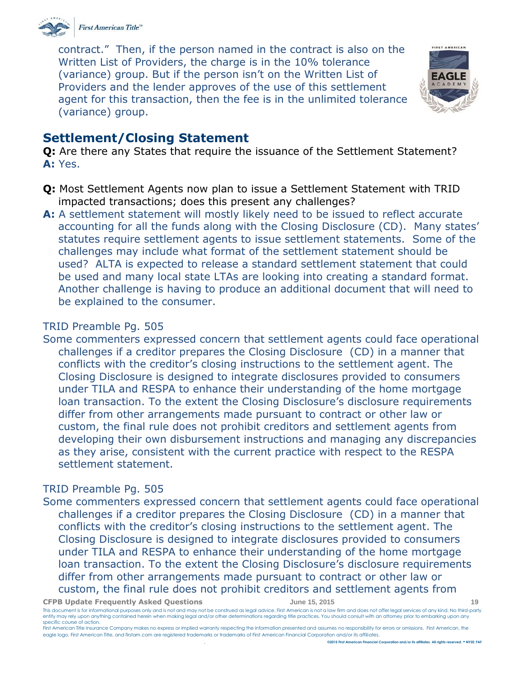

contract." Then, if the person named in the contract is also on the Written List of Providers, the charge is in the 10% tolerance (variance) group. But if the person isn't on the Written List of Providers and the lender approves of the use of this settlement agent for this transaction, then the fee is in the unlimited tolerance (variance) group.



### <span id="page-18-0"></span>**Settlement/Closing Statement**

**Q:** Are there any States that require the issuance of the Settlement Statement? **A:** Yes.

- **Q:** Most Settlement Agents now plan to issue a Settlement Statement with TRID impacted transactions; does this present any challenges?
- **A:** A settlement statement will mostly likely need to be issued to reflect accurate accounting for all the funds along with the Closing Disclosure (CD). Many states' statutes require settlement agents to issue settlement statements. Some of the challenges may include what format of the settlement statement should be used? ALTA is expected to release a standard settlement statement that could be used and many local state LTAs are looking into creating a standard format. Another challenge is having to produce an additional document that will need to be explained to the consumer.

#### TRID Preamble Pg. 505

Some commenters expressed concern that settlement agents could face operational challenges if a creditor prepares the Closing Disclosure (CD) in a manner that conflicts with the creditor's closing instructions to the settlement agent. The Closing Disclosure is designed to integrate disclosures provided to consumers under TILA and RESPA to enhance their understanding of the home mortgage loan transaction. To the extent the Closing Disclosure's disclosure requirements differ from other arrangements made pursuant to contract or other law or custom, the final rule does not prohibit creditors and settlement agents from developing their own disbursement instructions and managing any discrepancies as they arise, consistent with the current practice with respect to the RESPA settlement statement.

### TRID Preamble Pg. 505

Some commenters expressed concern that settlement agents could face operational challenges if a creditor prepares the Closing Disclosure (CD) in a manner that conflicts with the creditor's closing instructions to the settlement agent. The Closing Disclosure is designed to integrate disclosures provided to consumers under TILA and RESPA to enhance their understanding of the home mortgage loan transaction. To the extent the Closing Disclosure's disclosure requirements differ from other arrangements made pursuant to contract or other law or custom, the final rule does not prohibit creditors and settlement agents from

**CFPB Update Frequently Asked Questions June 15, 2015 19**

This document is for informational purposes only and is not and may not be construed as legal advice. First American is not a law firm and does not offer legal services of any kind. No third-party entity may rely upon anything contained herein when making legal and/or other determinations regarding title practices. You should consult with an attorney prior to embarking upon any specific course of action.

First American Title Insurance Company makes no express or implied warranty respecting the information presented and assumes no responsibility for errors or omissions. First American, the eagle logo, First American Title, and firstam.com are registered trademarks or trademarks of First American Financial Corporation and/or its affiliates. . **©2015 First American Financial Corporation and/or its affiliates. All rights reserved. NYSE: FAF**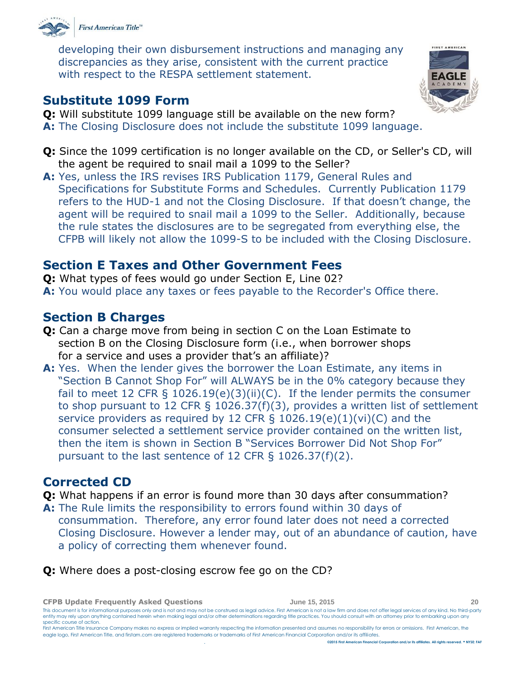

developing their own disbursement instructions and managing any discrepancies as they arise, consistent with the current practice with respect to the RESPA settlement statement.

### <span id="page-19-0"></span>**Substitute 1099 Form**

- **Q:** Will substitute 1099 language still be available on the new form?
- **A:** The Closing Disclosure does not include the substitute 1099 language.
- **Q:** Since the 1099 certification is no longer available on the CD, or Seller's CD, will the agent be required to snail mail a 1099 to the Seller?
- **A:** Yes, unless the IRS revises IRS Publication 1179, General Rules and Specifications for Substitute Forms and Schedules. Currently Publication 1179 refers to the HUD-1 and not the Closing Disclosure. If that doesn't change, the agent will be required to snail mail a 1099 to the Seller. Additionally, because the rule states the disclosures are to be segregated from everything else, the CFPB will likely not allow the 1099-S to be included with the Closing Disclosure.

## <span id="page-19-1"></span>**Section E Taxes and Other Government Fees**

**Q:** What types of fees would go under Section E, Line 02?

**A:** You would place any taxes or fees payable to the Recorder's Office there.

## <span id="page-19-2"></span>**Section B Charges**

- **Q:** Can a charge move from being in section C on the Loan Estimate to section B on the Closing Disclosure form (i.e., when borrower shops for a service and uses a provider that's an affiliate)?
- **A:** Yes. When the lender gives the borrower the Loan Estimate, any items in "Section B Cannot Shop For" will ALWAYS be in the 0% category because they fail to meet 12 CFR § 1026.19(e)(3)(ii)(C). If the lender permits the consumer to shop pursuant to 12 CFR § 1026.37(f)(3), provides a written list of settlement service providers as required by 12 CFR §  $1026.19(e)(1)(vi)(C)$  and the consumer selected a settlement service provider contained on the written list, then the item is shown in Section B "Services Borrower Did Not Shop For" pursuant to the last sentence of 12 CFR § 1026.37(f)(2).

## <span id="page-19-3"></span>**Corrected CD**

**Q:** What happens if an error is found more than 30 days after consummation?

- **A:** The Rule limits the responsibility to errors found within 30 days of consummation. Therefore, any error found later does not need a corrected Closing Disclosure. However a lender may, out of an abundance of caution, have a policy of correcting them whenever found.
- **Q:** Where does a post-closing escrow fee go on the CD?

**CFPB Update Frequently Asked Questions June 15, 2015 20** This document is for informational purposes only and is not and may not be construed as legal advice. First American is not a law firm and does not offer legal services of any kind. No third-party entity may rely upon anything contained herein when making legal and/or other determinations regarding title practices. You should consult with an attorney prior to embarking upon any specific course of action. First American Title Insurance Company makes no express or implied warranty respecting the information presented and assumes no responsibility for errors or omissions. First American, the

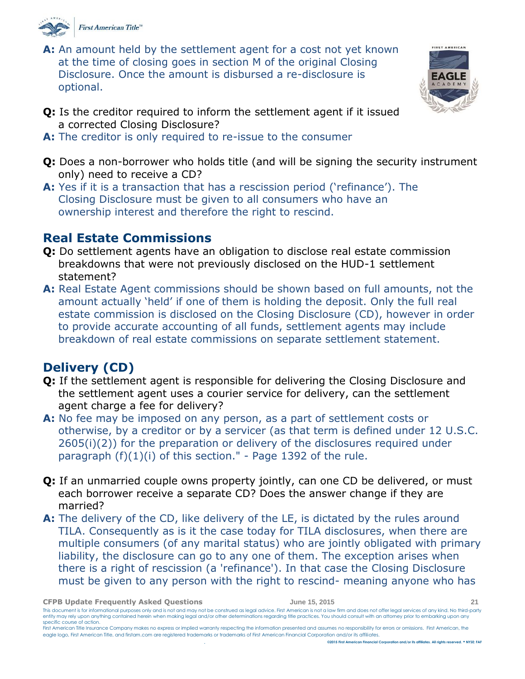

**A:** An amount held by the settlement agent for a cost not yet known at the time of closing goes in section M of the original Closing Disclosure. Once the amount is disbursed a re-disclosure is optional.



- **Q:** Is the creditor required to inform the settlement agent if it issued a corrected Closing Disclosure?
- **A:** The creditor is only required to re-issue to the consumer
- **Q:** Does a non-borrower who holds title (and will be signing the security instrument only) need to receive a CD?
- **A:** Yes if it is a transaction that has a rescission period ('refinance'). The Closing Disclosure must be given to all consumers who have an ownership interest and therefore the right to rescind.

### <span id="page-20-0"></span>**Real Estate Commissions**

- **Q:** Do settlement agents have an obligation to disclose real estate commission breakdowns that were not previously disclosed on the HUD-1 settlement statement?
- **A:** Real Estate Agent commissions should be shown based on full amounts, not the amount actually 'held' if one of them is holding the deposit. Only the full real estate commission is disclosed on the Closing Disclosure (CD), however in order to provide accurate accounting of all funds, settlement agents may include breakdown of real estate commissions on separate settlement statement.

## <span id="page-20-1"></span>**Delivery (CD)**

- **Q:** If the settlement agent is responsible for delivering the Closing Disclosure and the settlement agent uses a courier service for delivery, can the settlement agent charge a fee for delivery?
- **A:** No fee may be imposed on any person, as a part of settlement costs or otherwise, by a creditor or by a servicer (as that term is defined under 12 U.S.C. 2605(i)(2)) for the preparation or delivery of the disclosures required under paragraph  $(f)(1)(i)$  of this section." - Page 1392 of the rule.
- **Q:** If an unmarried couple owns property jointly, can one CD be delivered, or must each borrower receive a separate CD? Does the answer change if they are married?
- **A:** The delivery of the CD, like delivery of the LE, is dictated by the rules around TILA. Consequently as is it the case today for TILA disclosures, when there are multiple consumers (of any marital status) who are jointly obligated with primary liability, the disclosure can go to any one of them. The exception arises when there is a right of rescission (a 'refinance'). In that case the Closing Disclosure must be given to any person with the right to rescind- meaning anyone who has

This document is for informational purposes only and is not and may not be construed as legal advice. First American is not a law firm and does not offer legal services of any kind. No third-party entity may rely upon anything contained herein when making legal and/or other determinations regarding title practices. You should consult with an attorney prior to embarking upon any specific course of action.

**CFPB Update Frequently Asked Questions June 15, 2015 21**

First American Title Insurance Company makes no express or implied warranty respecting the information presented and assumes no responsibility for errors or omissions. First American, the eagle logo, First American Title, and firstam.com are registered trademarks or trademarks of First American Financial Corporation and/or its affiliates. . **©2015 First American Financial Corporation and/or its affiliates. All rights reserved. NYSE: FAF**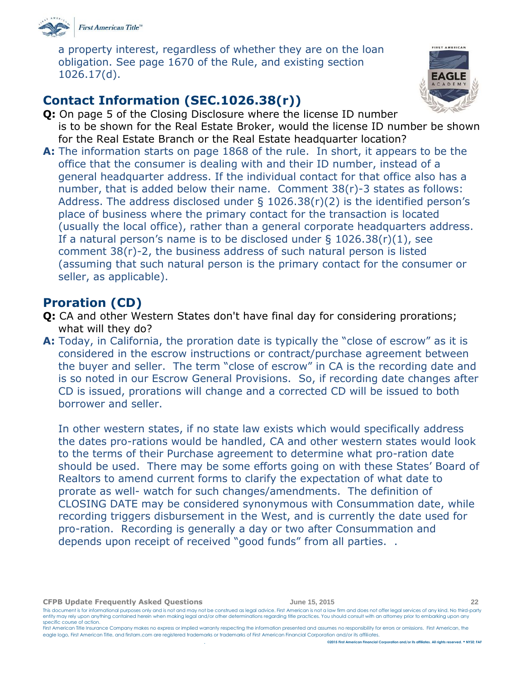

a property interest, regardless of whether they are on the loan obligation. See page 1670 of the Rule, and existing section 1026.17(d).

# <span id="page-21-0"></span>**Contact Information (SEC.1026.38(r))**



- **Q:** On page 5 of the Closing Disclosure where the license ID number is to be shown for the Real Estate Broker, would the license ID number be shown for the Real Estate Branch or the Real Estate headquarter location?
- **A:** The information starts on page 1868 of the rule. In short, it appears to be the office that the consumer is dealing with and their ID number, instead of a general headquarter address. If the individual contact for that office also has a number, that is added below their name. Comment 38(r)-3 states as follows: Address. The address disclosed under  $\S$  1026.38(r)(2) is the identified person's place of business where the primary contact for the transaction is located (usually the local office), rather than a general corporate headquarters address. If a natural person's name is to be disclosed under  $\S$  1026.38(r)(1), see comment 38(r)-2, the business address of such natural person is listed (assuming that such natural person is the primary contact for the consumer or seller, as applicable).

### <span id="page-21-1"></span>**Proration (CD)**

- **Q:** CA and other Western States don't have final day for considering prorations; what will they do?
- **A:** Today, in California, the proration date is typically the "close of escrow" as it is considered in the escrow instructions or contract/purchase agreement between the buyer and seller. The term "close of escrow" in CA is the recording date and is so noted in our Escrow General Provisions. So, if recording date changes after CD is issued, prorations will change and a corrected CD will be issued to both borrower and seller.

In other western states, if no state law exists which would specifically address the dates pro-rations would be handled, CA and other western states would look to the terms of their Purchase agreement to determine what pro-ration date should be used. There may be some efforts going on with these States' Board of Realtors to amend current forms to clarify the expectation of what date to prorate as well- watch for such changes/amendments. The definition of CLOSING DATE may be considered synonymous with Consummation date, while recording triggers disbursement in the West, and is currently the date used for pro-ration. Recording is generally a day or two after Consummation and depends upon receipt of received "good funds" from all parties. .

**CFPB Update Frequently Asked Questions June 15, 2015 22**

This document is for informational purposes only and is not and may not be construed as legal advice. First American is not a law firm and does not offer legal services of any kind. No third-party entity may rely upon anything contained herein when making legal and/or other determinations regarding title practices. You should consult with an attorney prior to embarking upon any specific course of action. First American Title Insurance Company makes no express or implied warranty respecting the information presented and assumes no responsibility for errors or omissions. First American, the

eagle logo, First American Title, and firstam.com are registered trademarks or trademarks of First American Financial Corporation and/or its affiliates.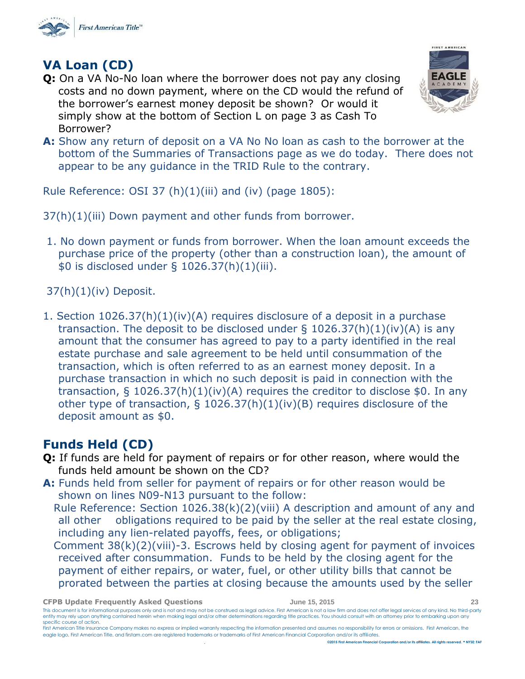

## <span id="page-22-0"></span>**VA Loan (CD)**

**Q:** On a VA No-No loan where the borrower does not pay any closing costs and no down payment, where on the CD would the refund of the borrower's earnest money deposit be shown? Or would it simply show at the bottom of Section L on page 3 as Cash To Borrower?



**A:** Show any return of deposit on a VA No No loan as cash to the borrower at the bottom of the Summaries of Transactions page as we do today. There does not appear to be any guidance in the TRID Rule to the contrary.

Rule Reference: OSI 37 (h)(1)(iii) and (iv) (page 1805):

37(h)(1)(iii) Down payment and other funds from borrower.

1. No down payment or funds from borrower. When the loan amount exceeds the purchase price of the property (other than a construction loan), the amount of \$0 is disclosed under § 1026.37(h)(1)(iii).

37(h)(1)(iv) Deposit.

1. Section 1026.37(h)(1)(iv)(A) requires disclosure of a deposit in a purchase transaction. The deposit to be disclosed under  $\S$  1026.37(h)(1)(iv)(A) is any amount that the consumer has agreed to pay to a party identified in the real estate purchase and sale agreement to be held until consummation of the transaction, which is often referred to as an earnest money deposit. In a purchase transaction in which no such deposit is paid in connection with the transaction, § 1026.37(h)(1)(iv)(A) requires the creditor to disclose \$0. In any other type of transaction, § 1026.37(h)(1)(iv)(B) requires disclosure of the deposit amount as \$0.

## **Funds Held (CD)**

- **Q:** If funds are held for payment of repairs or for other reason, where would the funds held amount be shown on the CD?
- **A:** Funds held from seller for payment of repairs or for other reason would be shown on lines N09-N13 pursuant to the follow:

 Rule Reference: Section 1026.38(k)(2)(viii) A description and amount of any and all other obligations required to be paid by the seller at the real estate closing, including any lien-related payoffs, fees, or obligations;

 Comment 38(k)(2)(viii)-3. Escrows held by closing agent for payment of invoices received after consummation. Funds to be held by the closing agent for the payment of either repairs, or water, fuel, or other utility bills that cannot be prorated between the parties at closing because the amounts used by the seller

**CFPB Update Frequently Asked Questions June 15, 2015 23**

This document is for informational purposes only and is not and may not be construed as legal advice. First American is not a law firm and does not offer legal services of any kind. No third-party entity may rely upon anything contained herein when making legal and/or other determinations regarding title practices. You should consult with an attorney prior to embarking upon any specific course of action.

First American Title Insurance Company makes no express or implied warranty respecting the information presented and assumes no responsibility for errors or omissions. First American, the eagle logo, First American Title, and firstam.com are registered trademarks or trademarks of First American Financial Corporation and/or its affiliates. . **©2015 First American Financial Corporation and/or its affiliates. All rights reserved. NYSE: FAF**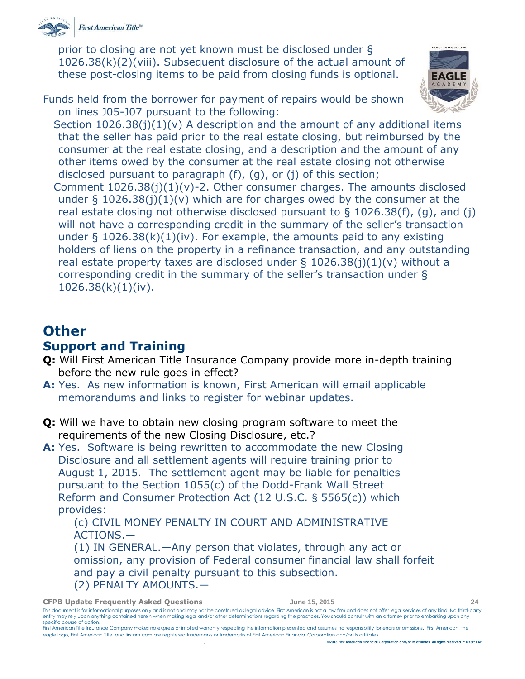

prior to closing are not yet known must be disclosed under § 1026.38(k)(2)(viii). Subsequent disclosure of the actual amount of these post-closing items to be paid from closing funds is optional.

Funds held from the borrower for payment of repairs would be shown on lines J05-J07 pursuant to the following:



Section 1026.38(j)(1)(v) A description and the amount of any additional items that the seller has paid prior to the real estate closing, but reimbursed by the consumer at the real estate closing, and a description and the amount of any other items owed by the consumer at the real estate closing not otherwise disclosed pursuant to paragraph (f), (g), or (j) of this section;

Comment  $1026.38(j)(1)(v)-2$ . Other consumer charges. The amounts disclosed under  $\S$  1026.38(j)(1)(v) which are for charges owed by the consumer at the real estate closing not otherwise disclosed pursuant to  $\S$  1026.38(f), (g), and (j) will not have a corresponding credit in the summary of the seller's transaction under  $\S$  1026.38(k)(1)(iv). For example, the amounts paid to any existing holders of liens on the property in a refinance transaction, and any outstanding real estate property taxes are disclosed under  $\S$  1026.38(j)(1)(v) without a corresponding credit in the summary of the seller's transaction under §  $1026.38(k)(1)(iv).$ 

# <span id="page-23-0"></span>**Other**

## <span id="page-23-1"></span>**Support and Training**

- **Q:** Will First American Title Insurance Company provide more in-depth training before the new rule goes in effect?
- **A:** Yes. As new information is known, First American will email applicable memorandums and links to register for webinar updates.
- **Q:** Will we have to obtain new closing program software to meet the requirements of the new Closing Disclosure, etc.?
- **A:** Yes. Software is being rewritten to accommodate the new Closing Disclosure and all settlement agents will require training prior to August 1, 2015. The settlement agent may be liable for penalties pursuant to the Section 1055(c) of the Dodd-Frank Wall Street Reform and Consumer Protection Act (12 U.S.C. § 5565(c)) which provides:

(c) CIVIL MONEY PENALTY IN COURT AND ADMINISTRATIVE ACTIONS.—

(1) IN GENERAL.—Any person that violates, through any act or omission, any provision of Federal consumer financial law shall forfeit and pay a civil penalty pursuant to this subsection. (2) PENALTY AMOUNTS.—

#### **CFPB Update Frequently Asked Questions June 15, 2015 24** This document is for informational purposes only and is not and may not be construed as legal advice. First American is not a law firm and does not offer legal services of any kind. No third-party

entity may rely upon anything contained herein when making legal and/or other determinations regarding title practices. You should consult with an attorney prior to embarking upon any specific course of action. First American Title Insurance Company makes no express or implied warranty respecting the information presented and assumes no responsibility for errors or omissions. First American, the

eagle logo, First American Title, and firstam.com are registered trademarks or trademarks of First American Financial Corporation and/or its affiliates.